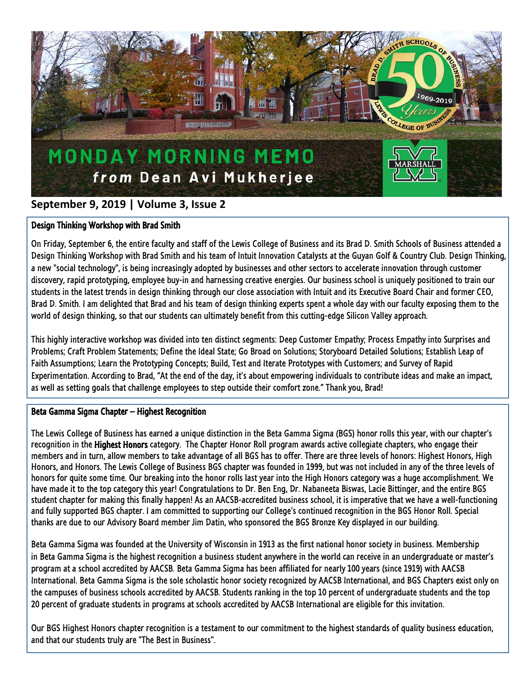

## **September 9, 2019 | Volume 3, Issue 2**

## Design Thinking Workshop with Brad Smith

On Friday, September 6, the entire faculty and staff of the Lewis College of Business and its Brad D. Smith Schools of Business attended a Design Thinking Workshop with Brad Smith and his team of Intuit Innovation Catalysts at the Guyan Golf & Country Club. Design Thinking, a new "social technology", is being increasingly adopted by businesses and other sectors to accelerate innovation through customer discovery, rapid prototyping, employee buy-in and harnessing creative energies. Our business school is uniquely positioned to train our students in the latest trends in design thinking through our close association with Intuit and its Executive Board Chair and former CEO, Brad D. Smith. I am delighted that Brad and his team of design thinking experts spent a whole day with our faculty exposing them to the world of design thinking, so that our students can ultimately benefit from this cutting-edge Silicon Valley approach.

This highly interactive workshop was divided into ten distinct segments: Deep Customer Empathy; Process Empathy into Surprises and Problems; Craft Problem Statements; Define the Ideal State; Go Broad on Solutions; Storyboard Detailed Solutions; Establish Leap of Faith Assumptions; Learn the Prototyping Concepts; Build, Test and Iterate Prototypes with Customers; and Survey of Rapid Experimentation. According to Brad, "At the end of the day, it's about empowering individuals to contribute ideas and make an impact, as well as setting goals that challenge employees to step outside their comfort zone." Thank you, Brad!

## Beta Gamma Sigma Chapter – Highest Recognition

l

The Lewis College of Business has earned a unique distinction in the Beta Gamma Sigma (BGS) honor rolls this year, with our chapter's recognition in the **Highest Honors** category. The Chapter Honor Roll program awards active collegiate chapters, who engage their members and in turn, allow members to take advantage of all BGS has to offer. There are three levels of honors: Highest Honors, High Honors, and Honors. The Lewis College of Business BGS chapter was founded in 1999, but was not included in any of the three levels of honors for quite some time. Our breaking into the honor rolls last year into the High Honors category was a huge accomplishment. We have made it to the top category this year! Congratulations to Dr. Ben Eng, Dr. Nabaneeta Biswas, Lacie Bittinger, and the entire BGS student chapter for making this finally happen! As an AACSB-accredited business school, it is imperative that we have a well-functioning and fully supported BGS chapter. I am committed to supporting our College's continued recognition in the BGS Honor Roll. Special thanks are due to our Advisory Board member Jim Datin, who sponsored the BGS Bronze Key displayed in our building.

Beta Gamma Sigma was founded at the University of Wisconsin in 1913 as the first national honor society in business. Membership in Beta Gamma Sigma is the highest recognition a business student anywhere in the world can receive in an undergraduate or master's program at a school accredited by AACSB. Beta Gamma Sigma has been affiliated for nearly 100 years (since 1919) with AACSB International. Beta Gamma Sigma is the sole scholastic honor society recognized by AACSB International, and BGS Chapters exist only on the campuses of business schools accredited by AACSB. Students ranking in the top 10 percent of undergraduate students and the top 20 percent of graduate students in programs at schools accredited by AACSB International are eligible for this invitation.

Our BGS Highest Honors chapter recognition is a testament to our commitment to the highest standards of quality business education, and that our students truly are "The Best in Business".